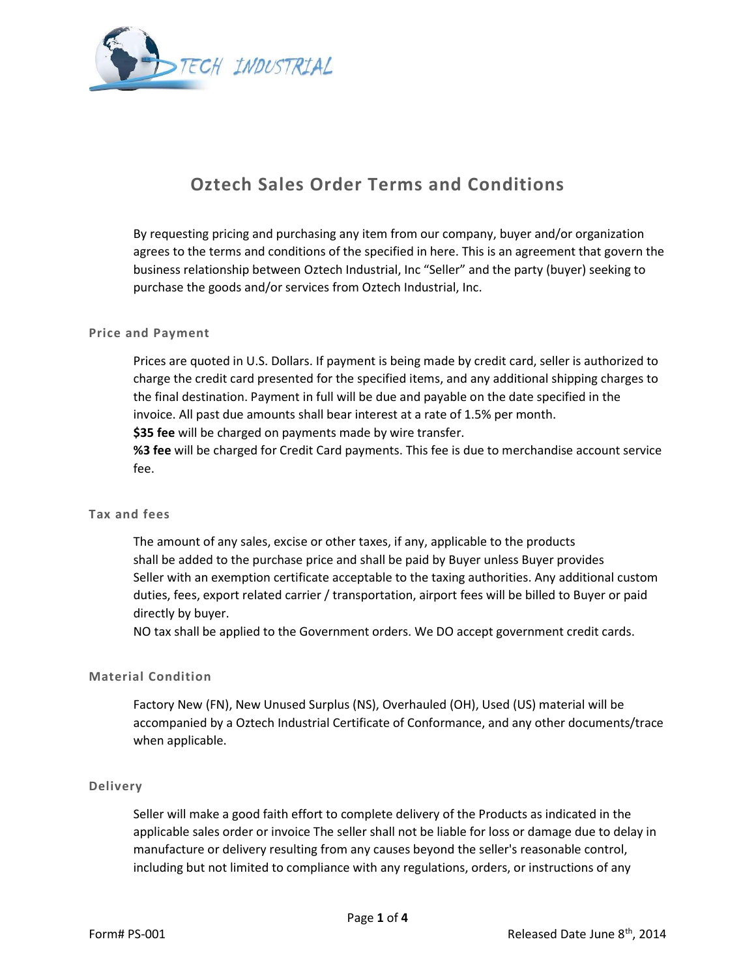

# Oztech Sales Order Terms and Conditions

By requesting pricing and purchasing any item from our company, buyer and/or organization agrees to the terms and conditions of the specified in here. This is an agreement that govern the business relationship between Oztech Industrial, Inc "Seller" and the party (buyer) seeking to purchase the goods and/or services from Oztech Industrial, Inc.

# Price and Payment

Prices are quoted in U.S. Dollars. If payment is being made by credit card, seller is authorized to charge the credit card presented for the specified items, and any additional shipping charges to the final destination. Payment in full will be due and payable on the date specified in the invoice. All past due amounts shall bear interest at a rate of 1.5% per month. \$35 fee will be charged on payments made by wire transfer.

%3 fee will be charged for Credit Card payments. This fee is due to merchandise account service fee.

# Tax and fees

The amount of any sales, excise or other taxes, if any, applicable to the products shall be added to the purchase price and shall be paid by Buyer unless Buyer provides Seller with an exemption certificate acceptable to the taxing authorities. Any additional custom duties, fees, export related carrier / transportation, airport fees will be billed to Buyer or paid directly by buyer.

NO tax shall be applied to the Government orders. We DO accept government credit cards.

# Material Condition

Factory New (FN), New Unused Surplus (NS), Overhauled (OH), Used (US) material will be accompanied by a Oztech Industrial Certificate of Conformance, and any other documents/trace when applicable.

# Delivery

Seller will make a good faith effort to complete delivery of the Products as indicated in the applicable sales order or invoice The seller shall not be liable for loss or damage due to delay in manufacture or delivery resulting from any causes beyond the seller's reasonable control, including but not limited to compliance with any regulations, orders, or instructions of any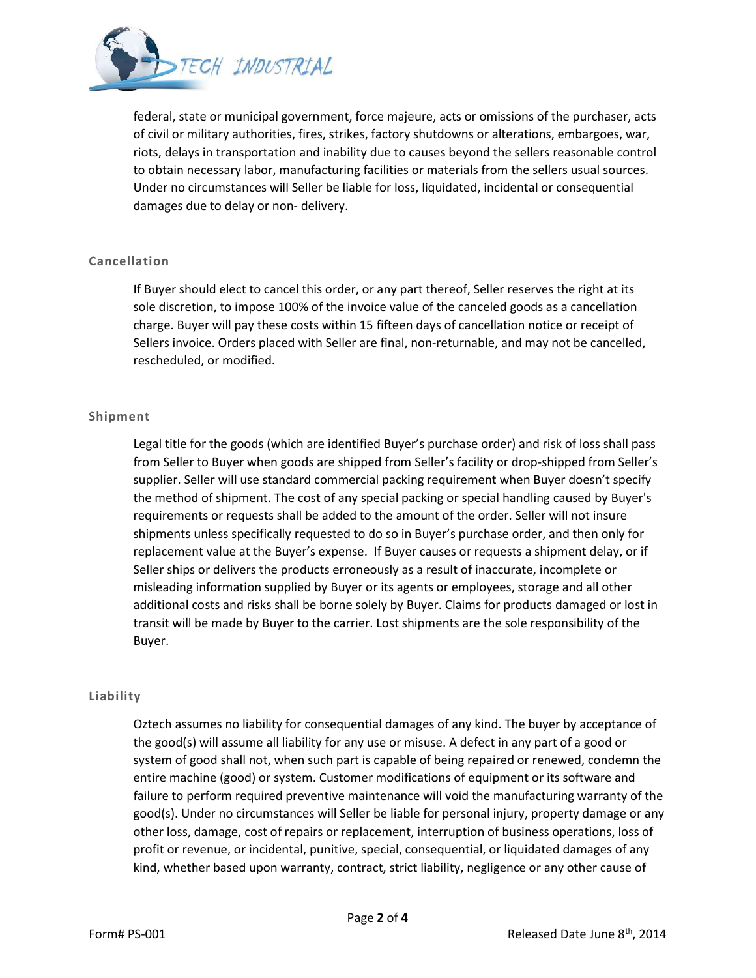

federal, state or municipal government, force majeure, acts or omissions of the purchaser, acts of civil or military authorities, fires, strikes, factory shutdowns or alterations, embargoes, war, riots, delays in transportation and inability due to causes beyond the sellers reasonable control to obtain necessary labor, manufacturing facilities or materials from the sellers usual sources. Under no circumstances will Seller be liable for loss, liquidated, incidental or consequential damages due to delay or non- delivery.

# Cancellation

If Buyer should elect to cancel this order, or any part thereof, Seller reserves the right at its sole discretion, to impose 100% of the invoice value of the canceled goods as a cancellation charge. Buyer will pay these costs within 15 fifteen days of cancellation notice or receipt of Sellers invoice. Orders placed with Seller are final, non-returnable, and may not be cancelled, rescheduled, or modified.

# Shipment

Legal title for the goods (which are identified Buyer's purchase order) and risk of loss shall pass from Seller to Buyer when goods are shipped from Seller's facility or drop-shipped from Seller's supplier. Seller will use standard commercial packing requirement when Buyer doesn't specify the method of shipment. The cost of any special packing or special handling caused by Buyer's requirements or requests shall be added to the amount of the order. Seller will not insure shipments unless specifically requested to do so in Buyer's purchase order, and then only for replacement value at the Buyer's expense. If Buyer causes or requests a shipment delay, or if Seller ships or delivers the products erroneously as a result of inaccurate, incomplete or misleading information supplied by Buyer or its agents or employees, storage and all other additional costs and risks shall be borne solely by Buyer. Claims for products damaged or lost in transit will be made by Buyer to the carrier. Lost shipments are the sole responsibility of the Buyer.

# Liability

Oztech assumes no liability for consequential damages of any kind. The buyer by acceptance of the good(s) will assume all liability for any use or misuse. A defect in any part of a good or system of good shall not, when such part is capable of being repaired or renewed, condemn the entire machine (good) or system. Customer modifications of equipment or its software and failure to perform required preventive maintenance will void the manufacturing warranty of the good(s). Under no circumstances will Seller be liable for personal injury, property damage or any other loss, damage, cost of repairs or replacement, interruption of business operations, loss of profit or revenue, or incidental, punitive, special, consequential, or liquidated damages of any kind, whether based upon warranty, contract, strict liability, negligence or any other cause of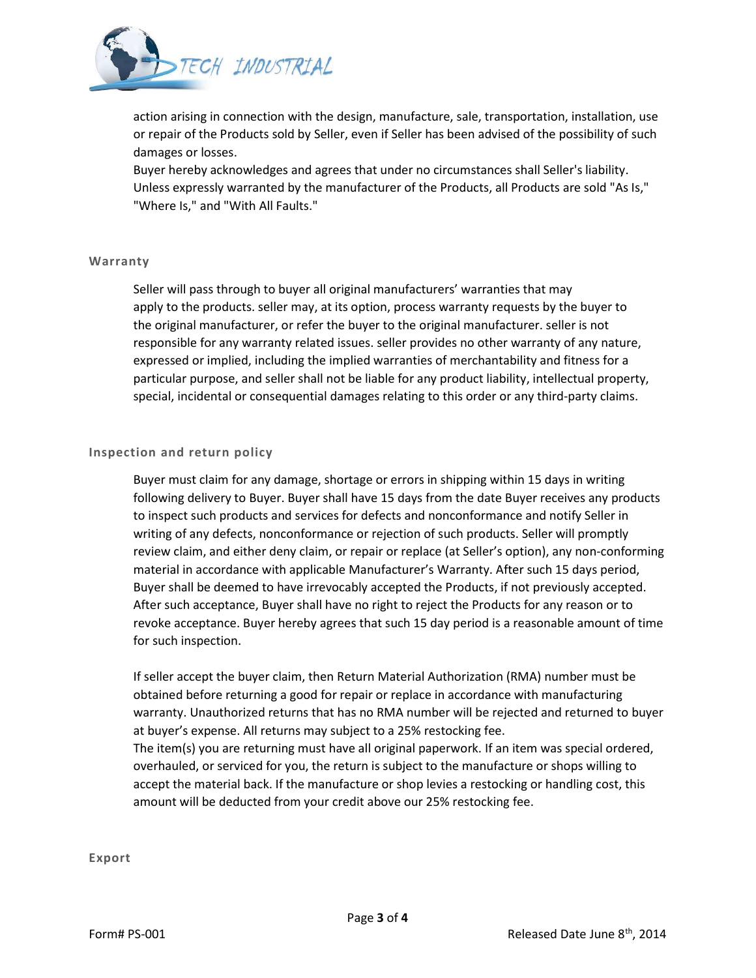

action arising in connection with the design, manufacture, sale, transportation, installation, use or repair of the Products sold by Seller, even if Seller has been advised of the possibility of such damages or losses.

Buyer hereby acknowledges and agrees that under no circumstances shall Seller's liability. Unless expressly warranted by the manufacturer of the Products, all Products are sold "As Is," "Where Is," and "With All Faults."

#### Warranty

Seller will pass through to buyer all original manufacturers' warranties that may apply to the products. seller may, at its option, process warranty requests by the buyer to the original manufacturer, or refer the buyer to the original manufacturer. seller is not responsible for any warranty related issues. seller provides no other warranty of any nature, expressed or implied, including the implied warranties of merchantability and fitness for a particular purpose, and seller shall not be liable for any product liability, intellectual property, special, incidental or consequential damages relating to this order or any third-party claims.

# Inspection and return policy

Buyer must claim for any damage, shortage or errors in shipping within 15 days in writing following delivery to Buyer. Buyer shall have 15 days from the date Buyer receives any products to inspect such products and services for defects and nonconformance and notify Seller in writing of any defects, nonconformance or rejection of such products. Seller will promptly review claim, and either deny claim, or repair or replace (at Seller's option), any non-conforming material in accordance with applicable Manufacturer's Warranty. After such 15 days period, Buyer shall be deemed to have irrevocably accepted the Products, if not previously accepted. After such acceptance, Buyer shall have no right to reject the Products for any reason or to revoke acceptance. Buyer hereby agrees that such 15 day period is a reasonable amount of time for such inspection.

If seller accept the buyer claim, then Return Material Authorization (RMA) number must be obtained before returning a good for repair or replace in accordance with manufacturing warranty. Unauthorized returns that has no RMA number will be rejected and returned to buyer at buyer's expense. All returns may subject to a 25% restocking fee. The item(s) you are returning must have all original paperwork. If an item was special ordered, overhauled, or serviced for you, the return is subject to the manufacture or shops willing to accept the material back. If the manufacture or shop levies a restocking or handling cost, this amount will be deducted from your credit above our 25% restocking fee.

Export